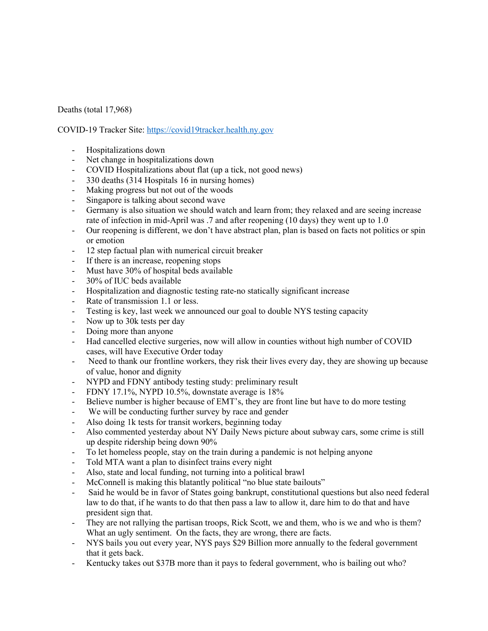## Deaths (total 17,968)

## COVID-19 Tracker Site: https://covid19tracker.health.ny.gov

- Hospitalizations down
- Net change in hospitalizations down
- COVID Hospitalizations about flat (up a tick, not good news)
- 330 deaths (314 Hospitals 16 in nursing homes)
- Making progress but not out of the woods
- Singapore is talking about second wave
- Germany is also situation we should watch and learn from; they relaxed and are seeing increase rate of infection in mid-April was .7 and after reopening (10 days) they went up to 1.0
- Our reopening is different, we don't have abstract plan, plan is based on facts not politics or spin or emotion
- 12 step factual plan with numerical circuit breaker
- If there is an increase, reopening stops
- Must have 30% of hospital beds available
- 30% of IUC beds available
- Hospitalization and diagnostic testing rate-no statically significant increase
- Rate of transmission 1.1 or less.
- Testing is key, last week we announced our goal to double NYS testing capacity
- Now up to 30k tests per day
- Doing more than anyone
- Had cancelled elective surgeries, now will allow in counties without high number of COVID cases, will have Executive Order today
- Need to thank our frontline workers, they risk their lives every day, they are showing up because of value, honor and dignity
- NYPD and FDNY antibody testing study: preliminary result
- FDNY 17.1%, NYPD 10.5%, downstate average is 18%
- Believe number is higher because of EMT's, they are front line but have to do more testing
- We will be conducting further survey by race and gender
- Also doing 1k tests for transit workers, beginning today
- Also commented yesterday about NY Daily News picture about subway cars, some crime is still up despite ridership being down 90%
- To let homeless people, stay on the train during a pandemic is not helping anyone
- Told MTA want a plan to disinfect trains every night
- Also, state and local funding, not turning into a political brawl
- McConnell is making this blatantly political "no blue state bailouts"
- Said he would be in favor of States going bankrupt, constitutional questions but also need federal law to do that, if he wants to do that then pass a law to allow it, dare him to do that and have president sign that.
- They are not rallying the partisan troops, Rick Scott, we and them, who is we and who is them? What an ugly sentiment. On the facts, they are wrong, there are facts.
- NYS bails you out every year, NYS pays \$29 Billion more annually to the federal government that it gets back.
- Kentucky takes out \$37B more than it pays to federal government, who is bailing out who?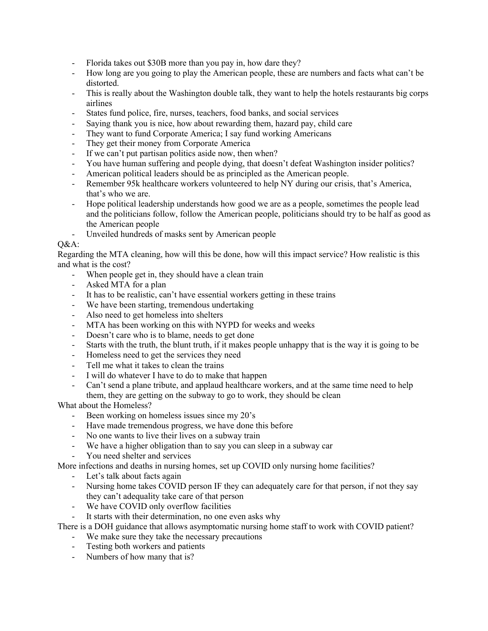- Florida takes out \$30B more than you pay in, how dare they?
- How long are you going to play the American people, these are numbers and facts what can't be distorted.
- This is really about the Washington double talk, they want to help the hotels restaurants big corps airlines
- States fund police, fire, nurses, teachers, food banks, and social services
- Saying thank you is nice, how about rewarding them, hazard pay, child care
- They want to fund Corporate America; I say fund working Americans
- They get their money from Corporate America
- If we can't put partisan politics aside now, then when?
- You have human suffering and people dying, that doesn't defeat Washington insider politics?
- American political leaders should be as principled as the American people.
- Remember 95k healthcare workers volunteered to help NY during our crisis, that's America, that's who we are.
- Hope political leadership understands how good we are as a people, sometimes the people lead and the politicians follow, follow the American people, politicians should try to be half as good as the American people
- Unveiled hundreds of masks sent by American people

## $O&A$ :

Regarding the MTA cleaning, how will this be done, how will this impact service? How realistic is this and what is the cost?

- When people get in, they should have a clean train
- Asked MTA for a plan
- It has to be realistic, can't have essential workers getting in these trains
- We have been starting, tremendous undertaking
- Also need to get homeless into shelters
- MTA has been working on this with NYPD for weeks and weeks
- Doesn't care who is to blame, needs to get done
- Starts with the truth, the blunt truth, if it makes people unhappy that is the way it is going to be
- Homeless need to get the services they need
- Tell me what it takes to clean the trains
- I will do whatever I have to do to make that happen
- Can't send a plane tribute, and applaud healthcare workers, and at the same time need to help them, they are getting on the subway to go to work, they should be clean

What about the Homeless?

- Been working on homeless issues since my 20's
- Have made tremendous progress, we have done this before
- No one wants to live their lives on a subway train
- We have a higher obligation than to say you can sleep in a subway car
- You need shelter and services

More infections and deaths in nursing homes, set up COVID only nursing home facilities?

- Let's talk about facts again
- Nursing home takes COVID person IF they can adequately care for that person, if not they say they can't adequality take care of that person
- We have COVID only overflow facilities
- It starts with their determination, no one even asks why

There is a DOH guidance that allows asymptomatic nursing home staff to work with COVID patient?

- We make sure they take the necessary precautions
- Testing both workers and patients
- Numbers of how many that is?